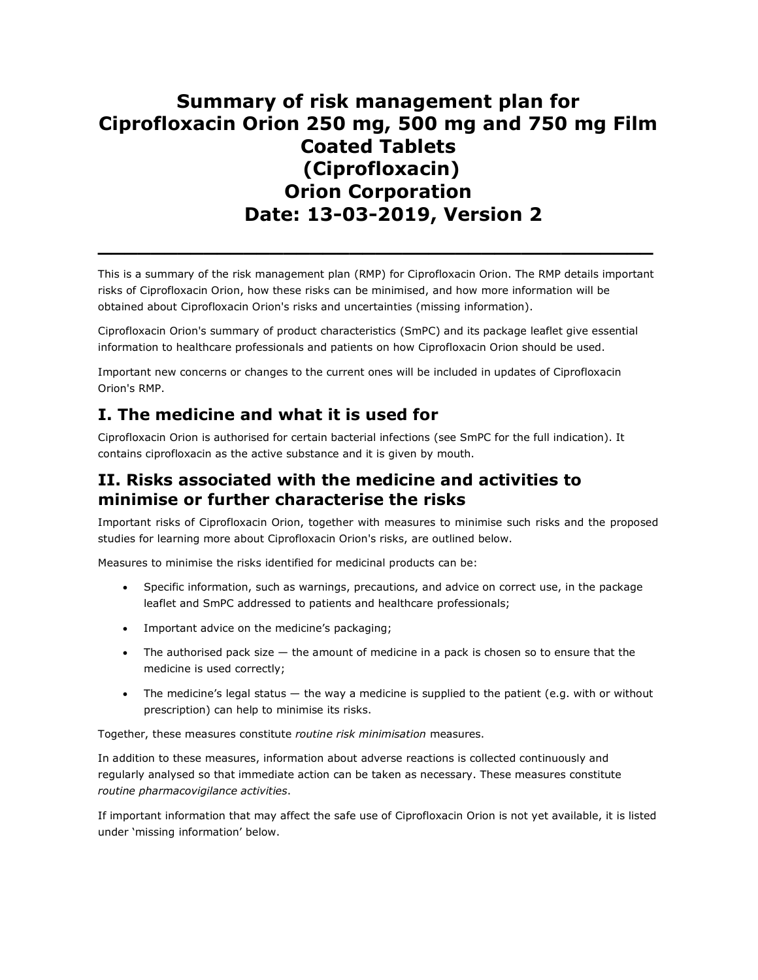# Summary of risk management plan for Ciprofloxacin Orion 250 mg, 500 mg and 750 mg Film Coated Tablets (Ciprofloxacin) Orion Corporation Date: 13-03-2019, Version 2

This is a summary of the risk management plan (RMP) for Ciprofloxacin Orion. The RMP details important risks of Ciprofloxacin Orion, how these risks can be minimised, and how more information will be obtained about Ciprofloxacin Orion's risks and uncertainties (missing information).

\_\_\_\_\_\_\_\_\_\_\_\_\_\_\_\_\_\_\_\_\_\_\_\_\_\_\_\_\_\_\_\_\_\_\_\_\_\_\_\_\_\_

Ciprofloxacin Orion's summary of product characteristics (SmPC) and its package leaflet give essential information to healthcare professionals and patients on how Ciprofloxacin Orion should be used.

Important new concerns or changes to the current ones will be included in updates of Ciprofloxacin Orion's RMP.

# I. The medicine and what it is used for

Ciprofloxacin Orion is authorised for certain bacterial infections (see SmPC for the full indication). It contains ciprofloxacin as the active substance and it is given by mouth.

## II. Risks associated with the medicine and activities to minimise or further characterise the risks

Important risks of Ciprofloxacin Orion, together with measures to minimise such risks and the proposed studies for learning more about Ciprofloxacin Orion's risks, are outlined below.

Measures to minimise the risks identified for medicinal products can be:

- Specific information, such as warnings, precautions, and advice on correct use, in the package leaflet and SmPC addressed to patients and healthcare professionals;
- Important advice on the medicine's packaging;
- $\bullet$  The authorised pack size  $-$  the amount of medicine in a pack is chosen so to ensure that the medicine is used correctly;
- The medicine's legal status the way a medicine is supplied to the patient (e.g. with or without prescription) can help to minimise its risks.

Together, these measures constitute routine risk minimisation measures.

In addition to these measures, information about adverse reactions is collected continuously and regularly analysed so that immediate action can be taken as necessary. These measures constitute routine pharmacovigilance activities.

If important information that may affect the safe use of Ciprofloxacin Orion is not yet available, it is listed under 'missing information' below.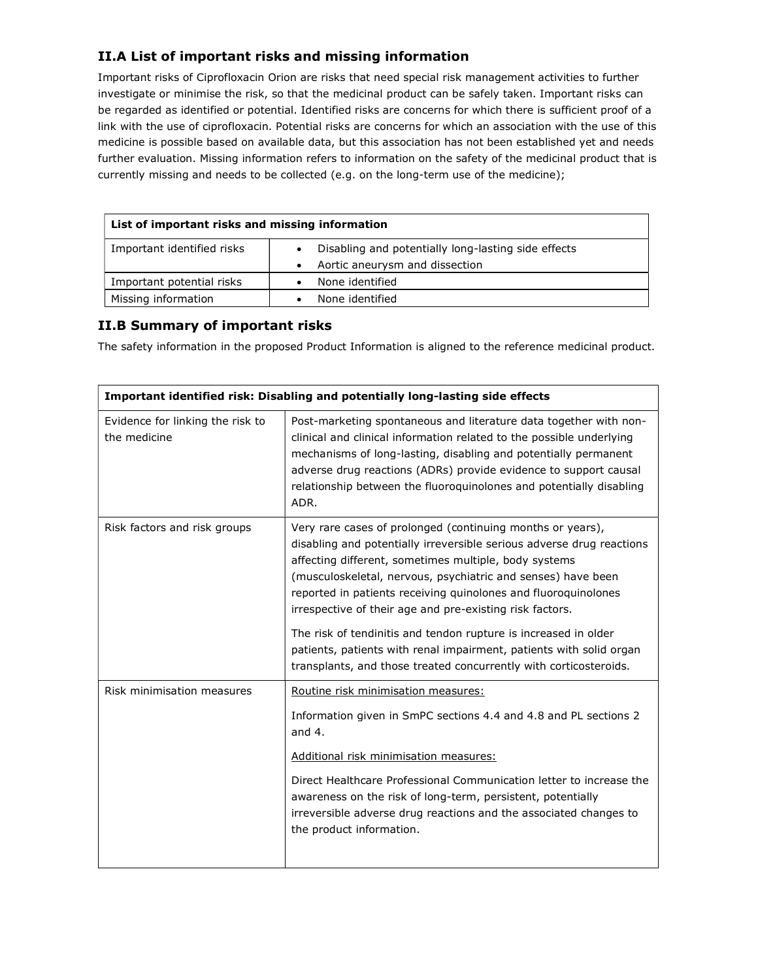#### II.A List of important risks and missing information

Important risks of Ciprofloxacin Orion are risks that need special risk management activities to further investigate or minimise the risk, so that the medicinal product can be safely taken. Important risks can be regarded as identified or potential. Identified risks are concerns for which there is sufficient proof of a link with the use of ciprofloxacin. Potential risks are concerns for which an association with the use of this medicine is possible based on available data, but this association has not been established yet and needs further evaluation. Missing information refers to information on the safety of the medicinal product that is currently missing and needs to be collected (e.g. on the long-term use of the medicine);

| List of important risks and missing information |                                                                                       |
|-------------------------------------------------|---------------------------------------------------------------------------------------|
| Important identified risks                      | Disabling and potentially long-lasting side effects<br>Aortic aneurysm and dissection |
| Important potential risks                       | None identified                                                                       |
| Missing information                             | None identified                                                                       |

#### II.B Summary of important risks

The safety information in the proposed Product Information is aligned to the reference medicinal product.

| Important identified risk: Disabling and potentially long-lasting side effects |                                                                                                                                                                                                                                                                                                                                                                                            |  |
|--------------------------------------------------------------------------------|--------------------------------------------------------------------------------------------------------------------------------------------------------------------------------------------------------------------------------------------------------------------------------------------------------------------------------------------------------------------------------------------|--|
| Evidence for linking the risk to<br>the medicine                               | Post-marketing spontaneous and literature data together with non-<br>clinical and clinical information related to the possible underlying<br>mechanisms of long-lasting, disabling and potentially permanent<br>adverse drug reactions (ADRs) provide evidence to support causal<br>relationship between the fluoroquinolones and potentially disabling<br>ADR.                            |  |
| Risk factors and risk groups                                                   | Very rare cases of prolonged (continuing months or years),<br>disabling and potentially irreversible serious adverse drug reactions<br>affecting different, sometimes multiple, body systems<br>(musculoskeletal, nervous, psychiatric and senses) have been<br>reported in patients receiving quinolones and fluoroquinolones<br>irrespective of their age and pre-existing risk factors. |  |
|                                                                                | The risk of tendinitis and tendon rupture is increased in older<br>patients, patients with renal impairment, patients with solid organ<br>transplants, and those treated concurrently with corticosteroids.                                                                                                                                                                                |  |
| Risk minimisation measures                                                     | Routine risk minimisation measures:                                                                                                                                                                                                                                                                                                                                                        |  |
|                                                                                | Information given in SmPC sections 4.4 and 4.8 and PL sections 2<br>and $4.$                                                                                                                                                                                                                                                                                                               |  |
|                                                                                | Additional risk minimisation measures:                                                                                                                                                                                                                                                                                                                                                     |  |
|                                                                                | Direct Healthcare Professional Communication letter to increase the<br>awareness on the risk of long-term, persistent, potentially<br>irreversible adverse drug reactions and the associated changes to<br>the product information.                                                                                                                                                        |  |